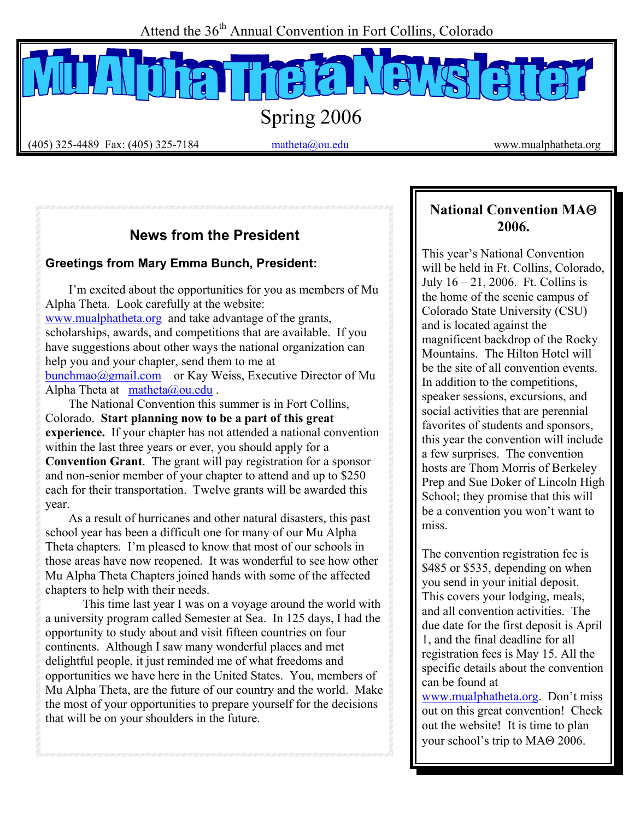Attend the 36<sup>th</sup> Annual Convention in Fort Collins, Colorado

Spring 2006

 $(405)$  325-4489 Fax: (405) 325-7184 matheta@ou.edu www.mualphatheta.org

# **News from the President**

#### **Greetings from Mary Emma Bunch, President:**

I'm excited about the opportunities for you as members of Mu Alpha Theta. Look carefully at the website: www.mualphatheta.org and take advantage of the grants, scholarships, awards, and competitions that are available. If you have suggestions about other ways the national organization can help you and your chapter, send them to me at bunchmao@gmail.com or Kay Weiss, Executive Director of Mu Alpha Theta at matheta@ou.edu .

The National Convention this summer is in Fort Collins, Colorado. **Start planning now to be a part of this great experience.** If your chapter has not attended a national convention within the last three years or ever, you should apply for a **Convention Grant**. The grant will pay registration for a sponsor and non-senior member of your chapter to attend and up to \$250 each for their transportation. Twelve grants will be awarded this year.

As a result of hurricanes and other natural disasters, this past school year has been a difficult one for many of our Mu Alpha Theta chapters. I'm pleased to know that most of our schools in those areas have now reopened. It was wonderful to see how other Mu Alpha Theta Chapters joined hands with some of the affected chapters to help with their needs.

This time last year I was on a voyage around the world with a university program called Semester at Sea. In 125 days, I had the opportunity to study about and visit fifteen countries on four continents. Although I saw many wonderful places and met delightful people, it just reminded me of what freedoms and opportunities we have here in the United States. You, members of Mu Alpha Theta, are the future of our country and the world. Make the most of your opportunities to prepare yourself for the decisions that will be on your shoulders in the future.

### **National Convention MA**Θ **2006.**

This year's National Convention will be held in Ft. Collins, Colorado, July  $16 - 21$ , 2006. Ft. Collins is the home of the scenic campus of Colorado State University (CSU) and is located against the magnificent backdrop of the Rocky Mountains. The Hilton Hotel will be the site of all convention events. In addition to the competitions, speaker sessions, excursions, and social activities that are perennial favorites of students and sponsors, this year the convention will include a few surprises. The convention hosts are Thom Morris of Berkeley Prep and Sue Doker of Lincoln High School; they promise that this will be a convention you won't want to miss.

The convention registration fee is \$485 or \$535, depending on when you send in your initial deposit. This covers your lodging, meals, and all convention activities. The due date for the first deposit is April 1, and the final deadline for all registration fees is May 15. All the specific details about the convention can be found at

www.mualphatheta.org. Don't miss out on this great convention! Check out the website! It is time to plan your school's trip to MAΘ 2006.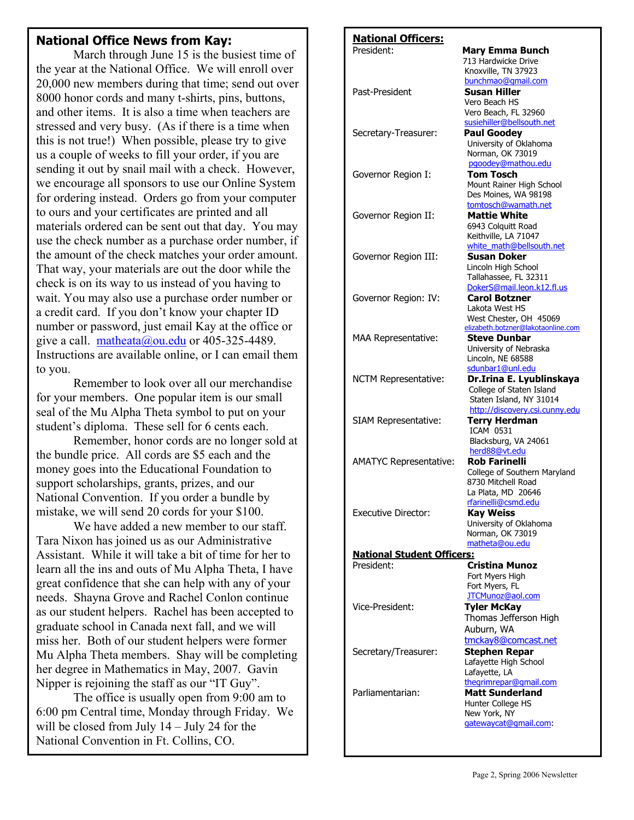#### **National Office News from Kay:**

 March through June 15 is the busiest time of the year at the National Office. We will enroll over 20,000 new members during that time; send out over 8000 honor cords and many t-shirts, pins, buttons, and other items. It is also a time when teachers are stressed and very busy. (As if there is a time when this is not true!) When possible, please try to give us a couple of weeks to fill your order, if you are sending it out by snail mail with a check. However, we encourage all sponsors to use our Online System for ordering instead. Orders go from your computer to ours and your certificates are printed and all materials ordered can be sent out that day. You may use the check number as a purchase order number, if the amount of the check matches your order amount. That way, your materials are out the door while the check is on its way to us instead of you having to wait. You may also use a purchase order number or a credit card. If you don't know your chapter ID number or password, just email Kay at the office or give a call. matheata@ou.edu or 405-325-4489. Instructions are available online, or I can email them to you.

 Remember to look over all our merchandise for your members. One popular item is our small seal of the Mu Alpha Theta symbol to put on your student's diploma. These sell for 6 cents each.

 Remember, honor cords are no longer sold at the bundle price. All cords are \$5 each and the money goes into the Educational Foundation to support scholarships, grants, prizes, and our National Convention. If you order a bundle by mistake, we will send 20 cords for your \$100.

We have added a new member to our staff. Tara Nixon has joined us as our Administrative Assistant. While it will take a bit of time for her to learn all the ins and outs of Mu Alpha Theta, I have great confidence that she can help with any of your needs. Shayna Grove and Rachel Conlon continue as our student helpers. Rachel has been accepted to graduate school in Canada next fall, and we will miss her. Both of our student helpers were former Mu Alpha Theta members. Shay will be completing her degree in Mathematics in May, 2007. Gavin Nipper is rejoining the staff as our "IT Guy".

 National Convention in Ft. Collins, CO. The office is usually open from 9:00 am to 6:00 pm Central time, Monday through Friday. We will be closed from July 14 – July 24 for the

l,

#### **National Officers:** President: **Mary Emma Bunch** 713 Hardwicke Drive Knoxville, TN 37923 bunchmao@gmail.com Past-President **Susan Hiller** Vero Beach HS Vero Beach, FL 32960 susiehiller@bellsouth.net Secretary-Treasurer: **Paul Goodey**  University of Oklahoma Norman, OK 73019 pgoodey@mathou.edu Governor Region I: **Tom Tosch** Mount Rainer High School Des Moines, WA 98198 tomtosch@wamath.net Governor Region II: **Mattie White** 6943 Colquitt Road Keithville, LA 71047 white\_math@bellsouth.net Governor Region III: **Susan Doker** Lincoln High School Tallahassee, FL 32311 DokerS@mail.leon.k12.fl.us Governor Region: IV: **Carol Botzner**  Lakota West HS West Chester, OH 45069 elizabeth.botzner@lakotaonline.com MAA Representative: **Steve Dunbar**  University of Nebraska Lincoln, NE 68588 sdunbar1@unl.edu NCTM Representative: **Dr.Irina E. Lyublinskaya** College of Staten Island Staten Island, NY 31014 http://discovery.csi.cunny.edu SIAM Representative: **Terry Herdman**  ICAM 0531 Blacksburg, VA 24061 herd88@vt.edu AMATYC Representative: **Rob Farinelli** College of Southern Maryland 8730 Mitchell Road La Plata, MD 20646 rfarinelli@csmd.edu Executive Director: **Kay Weiss**  University of Oklahoma Norman, OK 73019 matheta@ou.edu **National Student Officers:** President: **Cristina Munoz**  Fort Myers High Fort Myers, FL JTCMunoz@aol.com Vice-President: **Tyler McKay**  Thomas Jefferson High Auburn, WA tmckay8@comcast.net Secretary/Treasurer: **Stephen Repar**  Lafayette High School Lafayette, LA thegrimrepar@gmail.com Parliamentarian: **Matt Sunderland** Hunter College HS New York, NY gatewaycat@gmail.com: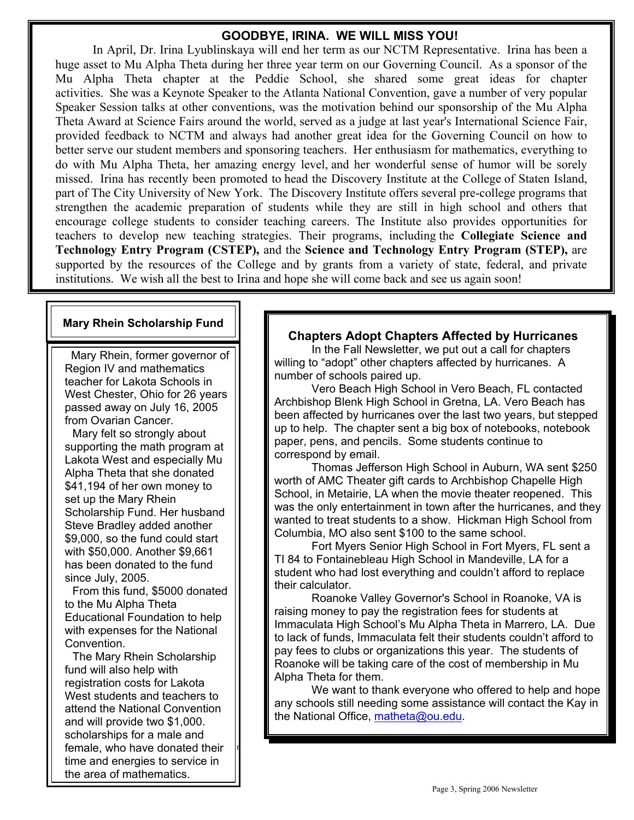#### **GOODBYE, IRINA. WE WILL MISS YOU!**

In April, Dr. Irina Lyublinskaya will end her term as our NCTM Representative. Irina has been a huge asset to Mu Alpha Theta during her three year term on our Governing Council. As a sponsor of the Mu Alpha Theta chapter at the Peddie School, she shared some great ideas for chapter activities. She was a Keynote Speaker to the Atlanta National Convention, gave a number of very popular Speaker Session talks at other conventions, was the motivation behind our sponsorship of the Mu Alpha Theta Award at Science Fairs around the world, served as a judge at last year's International Science Fair, provided feedback to NCTM and always had another great idea for the Governing Council on how to better serve our student members and sponsoring teachers. Her enthusiasm for mathematics, everything to do with Mu Alpha Theta, her amazing energy level, and her wonderful sense of humor will be sorely missed. Irina has recently been promoted to head the Discovery Institute at the College of Staten Island, part of The City University of New York. The Discovery Institute offers several pre-college programs that strengthen the academic preparation of students while they are still in high school and others that encourage college students to consider teaching careers. The Institute also provides opportunities for teachers to develop new teaching strategies. Their programs, including the **Collegiate Science and Technology Entry Program (CSTEP),** and the **Science and Technology Entry Program (STEP),** are supported by the resources of the College and by grants from a variety of state, federal, and private institutions. We wish all the best to Irina and hope she will come back and see us again soon!

#### **Mary Rhein Scholarship Fund**

 Mary Rhein, former governor of Region IV and mathematics teacher for Lakota Schools in West Chester, Ohio for 26 years passed away on July 16, 2005 from Ovarian Cancer.

Mary felt so strongly about supporting the math program at Lakota West and especially Mu Alpha Theta that she donated \$41,194 of her own money to set up the Mary Rhein Scholarship Fund. Her husband Steve Bradley added another \$9,000, so the fund could start with \$50,000. Another \$9,661 has been donated to the fund since July, 2005.

From this fund, \$5000 donated to the Mu Alpha Theta Educational Foundation to help with expenses for the National Convention.

**Page 3** Female, who have donated their The Mary Rhein Scholarship fund will also help with registration costs for Lakota West students and teachers to attend the National Convention and will provide two \$1,000. scholarships for a male and time and energies to service in the area of mathematics.

#### **Chapters Adopt Chapters Affected by Hurricanes**

In the Fall Newsletter, we put out a call for chapters willing to "adopt" other chapters affected by hurricanes. A number of schools paired up.

Vero Beach High School in Vero Beach, FL contacted Archbishop Blenk High School in Gretna, LA. Vero Beach has been affected by hurricanes over the last two years, but stepped up to help. The chapter sent a big box of notebooks, notebook paper, pens, and pencils. Some students continue to correspond by email.

 Thomas Jefferson High School in Auburn, WA sent \$250 worth of AMC Theater gift cards to Archbishop Chapelle High School, in Metairie, LA when the movie theater reopened. This was the only entertainment in town after the hurricanes, and they wanted to treat students to a show. Hickman High School from Columbia, MO also sent \$100 to the same school.

 Fort Myers Senior High School in Fort Myers, FL sent a TI 84 to Fontainebleau High School in Mandeville, LA for a student who had lost everything and couldn't afford to replace their calculator.

 Roanoke Valley Governor's School in Roanoke, VA is raising money to pay the registration fees for students at Immaculata High School's Mu Alpha Theta in Marrero, LA. Due to lack of funds, Immaculata felt their students couldn't afford to pay fees to clubs or organizations this year. The students of Roanoke will be taking care of the cost of membership in Mu Alpha Theta for them.

 We want to thank everyone who offered to help and hope any schools still needing some assistance will contact the Kay in the National Office, matheta@ou.edu.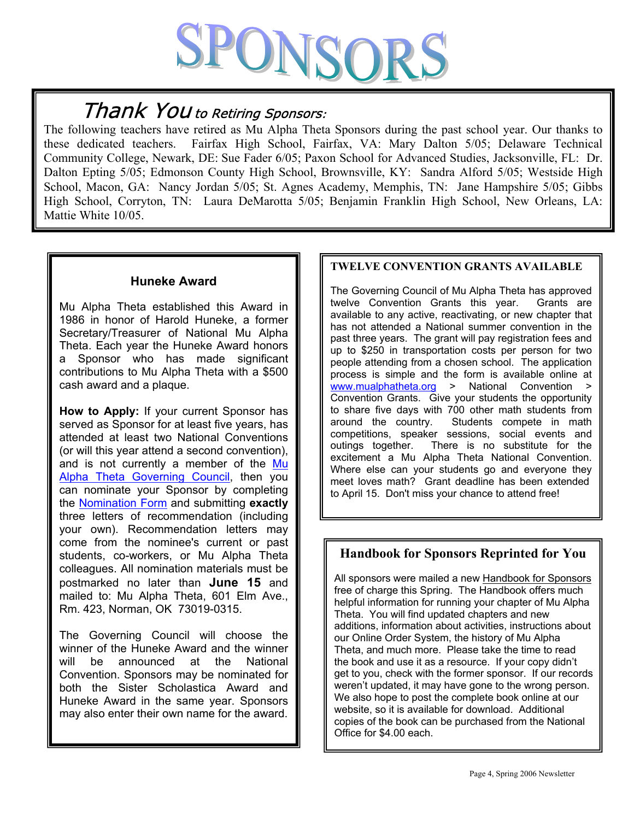# PONSORS

# Thank You to Retiring Sponsors:

The following teachers have retired as Mu Alpha Theta Sponsors during the past school year. Our thanks to these dedicated teachers. Fairfax High School, Fairfax, VA: Mary Dalton 5/05; Delaware Technical Community College, Newark, DE: Sue Fader 6/05; Paxon School for Advanced Studies, Jacksonville, FL: Dr. Dalton Epting 5/05; Edmonson County High School, Brownsville, KY: Sandra Alford 5/05; Westside High School, Macon, GA: Nancy Jordan 5/05; St. Agnes Academy, Memphis, TN: Jane Hampshire 5/05; Gibbs High School, Corryton, TN: Laura DeMarotta 5/05; Benjamin Franklin High School, New Orleans, LA: Mattie White 10/05.

#### **Huneke Award**

Mu Alpha Theta established this Award in 1986 in honor of Harold Huneke, a former Secretary/Treasurer of National Mu Alpha Theta. Each year the Huneke Award honors a Sponsor who has made significant contributions to Mu Alpha Theta with a \$500 cash award and a plaque.

**How to Apply:** If your current Sponsor has served as Sponsor for at least five years, has attended at least two National Conventions (or will this year attend a second convention), and is not currently a member of the Mu Alpha Theta Governing Council, then you can nominate your Sponsor by completing the Nomination Form and submitting **exactly** three letters of recommendation (including your own). Recommendation letters may come from the nominee's current or past students, co-workers, or Mu Alpha Theta colleagues. All nomination materials must be postmarked no later than **June 15** and mailed to: Mu Alpha Theta, 601 Elm Ave., Rm. 423, Norman, OK 73019-0315.

The Governing Council will choose the winner of the Huneke Award and the winner will be announced at the National Convention. Sponsors may be nominated for both the Sister Scholastica Award and Huneke Award in the same year. Sponsors may also enter their own name for the award.

#### **TWELVE CONVENTION GRANTS AVAILABLE**

The Governing Council of Mu Alpha Theta has approved twelve Convention Grants this year. Grants are available to any active, reactivating, or new chapter that has not attended a National summer convention in the past three years. The grant will pay registration fees and up to \$250 in transportation costs per person for two people attending from a chosen school. The application process is simple and the form is available online at<br>www.mualphatheta.org > National Convention > > National Convention > Convention Grants. Give your students the opportunity to share five days with 700 other math students from around the country. Students compete in math competitions, speaker sessions, social events and outings together. There is no substitute for the excitement a Mu Alpha Theta National Convention. Where else can your students go and everyone they meet loves math? Grant deadline has been extended to April 15. Don't miss your chance to attend free!

#### **Handbook for Sponsors Reprinted for You**

All sponsors were mailed a new Handbook for Sponsors free of charge this Spring. The Handbook offers much helpful information for running your chapter of Mu Alpha Theta. You will find updated chapters and new additions, information about activities, instructions about our Online Order System, the history of Mu Alpha Theta, and much more. Please take the time to read the book and use it as a resource. If your copy didn't get to you, check with the former sponsor. If our records weren't updated, it may have gone to the wrong person. We also hope to post the complete book online at our website, so it is available for download. Additional copies of the book can be purchased from the National Office for \$4.00 each.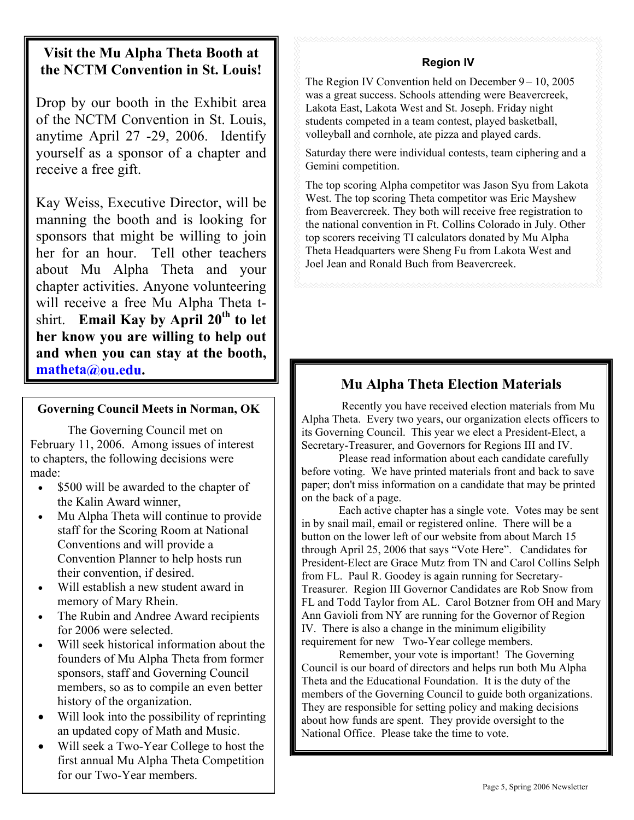## **Visit the Mu Alpha Theta Booth at the NCTM Convention in St. Louis!**

Drop by our booth in the Exhibit area of the NCTM Convention in St. Louis, anytime April 27 -29, 2006. Identify yourself as a sponsor of a chapter and receive a free gift.

 . manning the booth and is looking for Kay Weiss, Executive Director, will be sponsors that might be willing to join her for an hour. Tell other teachers about Mu Alpha Theta and your chapter activities. Anyone volunteering will receive a free Mu Alpha Theta tshirt. **Email Kay by April 20th to let her know you are willing to help out and when you can stay at the booth, matheta@ou.edu. Mu Alpha Theta Election Materials** 

#### **Governing Council Meets in Norman, OK**

 The Governing Council met on February 11, 2006. Among issues of interest to chapters, the following decisions were made:

- \$500 will be awarded to the chapter of the Kalin Award winner,
- Mu Alpha Theta will continue to provide staff for the Scoring Room at National Conventions and will provide a Convention Planner to help hosts run their convention, if desired.
- Will establish a new student award in memory of Mary Rhein.
- The Rubin and Andree Award recipients for 2006 were selected.
- Will seek historical information about the founders of Mu Alpha Theta from former sponsors, staff and Governing Council members, so as to compile an even better history of the organization.
- Will look into the possibility of reprinting an updated copy of Math and Music.
- Will seek a Two-Year College to host the first annual Mu Alpha Theta Competition for our Two-Year members.

#### **Region IV**

The Region IV Convention held on December 9 – 10, 2005 was a great success. Schools attending were Beavercreek, Lakota East, Lakota West and St. Joseph. Friday night students competed in a team contest, played basketball, volleyball and cornhole, ate pizza and played cards.

Saturday there were individual contests, team ciphering and a Gemini competition.

The top scoring Alpha competitor was Jason Syu from Lakota West. The top scoring Theta competitor was Eric Mayshew from Beavercreek. They both will receive free registration to the national convention in Ft. Collins Colorado in July. Other top scorers receiving TI calculators donated by Mu Alpha Theta Headquarters were Sheng Fu from Lakota West and Joel Jean and Ronald Buch from Beavercreek.

 Recently you have received election materials from Mu Alpha Theta. Every two years, our organization elects officers to its Governing Council. This year we elect a President-Elect, a Secretary-Treasurer, and Governors for Regions III and IV.

Please read information about each candidate carefully before voting. We have printed materials front and back to save paper; don't miss information on a candidate that may be printed on the back of a page.

Each active chapter has a single vote. Votes may be sent in by snail mail, email or registered online. There will be a button on the lower left of our website from about March 15 through April 25, 2006 that says "Vote Here". Candidates for President-Elect are Grace Mutz from TN and Carol Collins Selph from FL. Paul R. Goodey is again running for Secretary-Treasurer. Region III Governor Candidates are Rob Snow from FL and Todd Taylor from AL. Carol Botzner from OH and Mary Ann Gavioli from NY are running for the Governor of Region IV. There is also a change in the minimum eligibility requirement for new Two-Year college members.

Remember, your vote is important! The Governing Council is our board of directors and helps run both Mu Alpha Theta and the Educational Foundation. It is the duty of the members of the Governing Council to guide both organizations. They are responsible for setting policy and making decisions about how funds are spent. They provide oversight to the National Office. Please take the time to vote.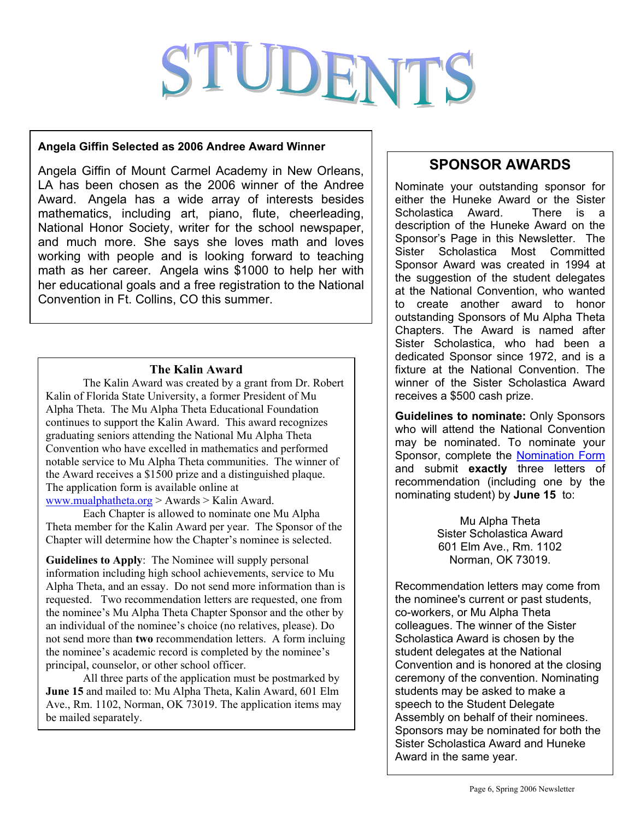# STUDENTS

#### **Angela Giffin Selected as 2006 Andree Award Winner**

Angela Giffin of Mount Carmel Academy in New Orleans, LA has been chosen as the 2006 winner of the Andree Award. Angela has a wide array of interests besides mathematics, including art, piano, flute, cheerleading, National Honor Society, writer for the school newspaper, and much more. She says she loves math and loves working with people and is looking forward to teaching math as her career. Angela wins \$1000 to help her with her educational goals and a free registration to the National Convention in Ft. Collins, CO this summer.

#### **The Kalin Award**

The Kalin Award was created by a grant from Dr. Robert Kalin of Florida State University, a former President of Mu Alpha Theta. The Mu Alpha Theta Educational Foundation continues to support the Kalin Award. This award recognizes graduating seniors attending the National Mu Alpha Theta Convention who have excelled in mathematics and performed notable service to Mu Alpha Theta communities. The winner of the Award receives a \$1500 prize and a distinguished plaque. The application form is available online at www.mualphatheta.org > Awards > Kalin Award.

 Each Chapter is allowed to nominate one Mu Alpha Theta member for the Kalin Award per year. The Sponsor of the Chapter will determine how the Chapter's nominee is selected.

**Guidelines to Apply**: The Nominee will supply personal information including high school achievements, service to Mu Alpha Theta, and an essay. Do not send more information than is requested. Two recommendation letters are requested, one from the nominee's Mu Alpha Theta Chapter Sponsor and the other by an individual of the nominee's choice (no relatives, please). Do not send more than **two** recommendation letters. A form incluing the nominee's academic record is completed by the nominee's principal, counselor, or other school officer.

 All three parts of the application must be postmarked by **June 15** and mailed to: Mu Alpha Theta, Kalin Award, 601 Elm Ave., Rm. 1102, Norman, OK 73019. The application items may be mailed separately.

## **SPONSOR AWARDS**

Nominate your outstanding sponsor for either the Huneke Award or the Sister Scholastica Award. There is a description of the Huneke Award on the Sponsor's Page in this Newsletter. The Sister Scholastica Most Committed Sponsor Award was created in 1994 at the suggestion of the student delegates at the National Convention, who wanted to create another award to honor outstanding Sponsors of Mu Alpha Theta Chapters. The Award is named after Sister Scholastica, who had been a dedicated Sponsor since 1972, and is a fixture at the National Convention. The winner of the Sister Scholastica Award receives a \$500 cash prize.

**Guidelines to nominate:** Only Sponsors who will attend the National Convention may be nominated. To nominate your Sponsor, complete the Nomination Form and submit **exactly** three letters of recommendation (including one by the nominating student) by **June 15** to:

> Mu Alpha Theta Sister Scholastica Award 601 Elm Ave., Rm. 1102 Norman, OK 73019.

Recommendation letters may come from the nominee's current or past students, co-workers, or Mu Alpha Theta colleagues. The winner of the Sister Scholastica Award is chosen by the student delegates at the National Convention and is honored at the closing ceremony of the convention. Nominating students may be asked to make a speech to the Student Delegate Assembly on behalf of their nominees. Sponsors may be nominated for both the Sister Scholastica Award and Huneke Award in the same year.